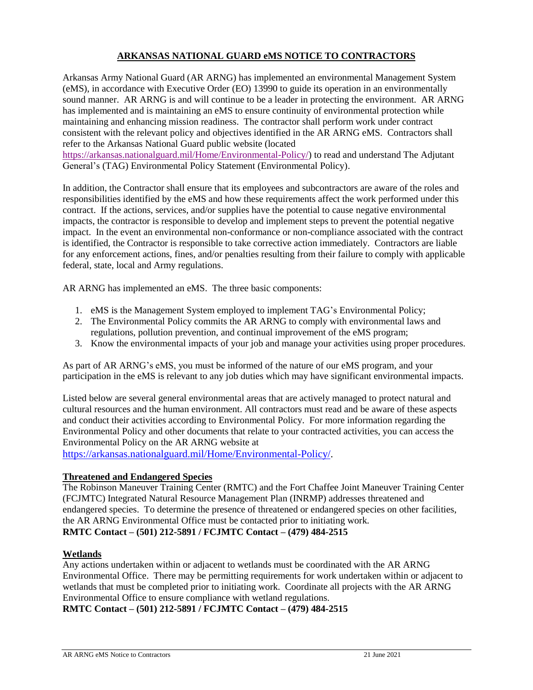# **ARKANSAS NATIONAL GUARD eMS NOTICE TO CONTRACTORS**

Arkansas Army National Guard (AR ARNG) has implemented an environmental Management System (eMS), in accordance with Executive Order (EO) 13990 to guide its operation in an environmentally sound manner. AR ARNG is and will continue to be a leader in protecting the environment. AR ARNG has implemented and is maintaining an eMS to ensure continuity of environmental protection while maintaining and enhancing mission readiness. The contractor shall perform work under contract consistent with the relevant policy and objectives identified in the AR ARNG eMS. Contractors shall refer to the Arkansas National Guard public website (located

[https://arkansas.nationalguard.mil/Home/Environmental-Policy/\)](https://arkansas.nationalguard.mil/Home/Environmental-Policy/) to read and understand The Adjutant General's (TAG) Environmental Policy Statement (Environmental Policy).

In addition, the Contractor shall ensure that its employees and subcontractors are aware of the roles and responsibilities identified by the eMS and how these requirements affect the work performed under this contract. If the actions, services, and/or supplies have the potential to cause negative environmental impacts, the contractor is responsible to develop and implement steps to prevent the potential negative impact. In the event an environmental non-conformance or non-compliance associated with the contract is identified, the Contractor is responsible to take corrective action immediately. Contractors are liable for any enforcement actions, fines, and/or penalties resulting from their failure to comply with applicable federal, state, local and Army regulations.

AR ARNG has implemented an eMS. The three basic components:

- 1. eMS is the Management System employed to implement TAG's Environmental Policy;
- 2. The Environmental Policy commits the AR ARNG to comply with environmental laws and regulations, pollution prevention, and continual improvement of the eMS program;
- 3. Know the environmental impacts of your job and manage your activities using proper procedures.

As part of AR ARNG's eMS, you must be informed of the nature of our eMS program, and your participation in the eMS is relevant to any job duties which may have significant environmental impacts.

Listed below are several general environmental areas that are actively managed to protect natural and cultural resources and the human environment. All contractors must read and be aware of these aspects and conduct their activities according to Environmental Policy. For more information regarding the Environmental Policy and other documents that relate to your contracted activities, you can access the Environmental Policy on the AR ARNG website at

https://arkansas.nationalguard.mil/Home/Environmental-Policy/.

### **Threatened and Endangered Species**

The Robinson Maneuver Training Center (RMTC) and the Fort Chaffee Joint Maneuver Training Center (FCJMTC) Integrated Natural Resource Management Plan (INRMP) addresses threatened and endangered species. To determine the presence of threatened or endangered species on other facilities, the AR ARNG Environmental Office must be contacted prior to initiating work. **RMTC Contact – (501) 212-5891 / FCJMTC Contact – (479) 484-2515**

### **Wetlands**

Any actions undertaken within or adjacent to wetlands must be coordinated with the AR ARNG Environmental Office. There may be permitting requirements for work undertaken within or adjacent to wetlands that must be completed prior to initiating work. Coordinate all projects with the AR ARNG Environmental Office to ensure compliance with wetland regulations.

**RMTC Contact – (501) 212-5891 / FCJMTC Contact – (479) 484-2515**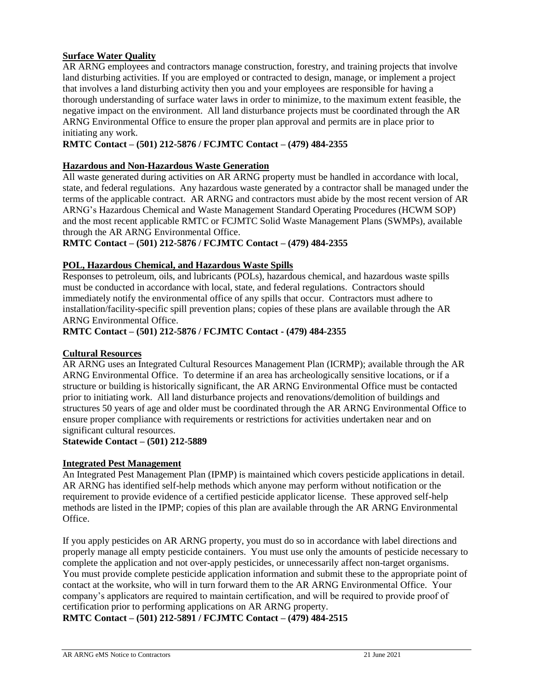## **Surface Water Quality**

AR ARNG employees and contractors manage construction, forestry, and training projects that involve land disturbing activities. If you are employed or contracted to design, manage, or implement a project that involves a land disturbing activity then you and your employees are responsible for having a thorough understanding of surface water laws in order to minimize, to the maximum extent feasible, the negative impact on the environment. All land disturbance projects must be coordinated through the AR ARNG Environmental Office to ensure the proper plan approval and permits are in place prior to initiating any work.

## **RMTC Contact – (501) 212-5876 / FCJMTC Contact – (479) 484-2355**

## **Hazardous and Non-Hazardous Waste Generation**

All waste generated during activities on AR ARNG property must be handled in accordance with local, state, and federal regulations. Any hazardous waste generated by a contractor shall be managed under the terms of the applicable contract. AR ARNG and contractors must abide by the most recent version of AR ARNG's Hazardous Chemical and Waste Management Standard Operating Procedures (HCWM SOP) and the most recent applicable RMTC or FCJMTC Solid Waste Management Plans (SWMPs), available through the AR ARNG Environmental Office.

### **RMTC Contact – (501) 212-5876 / FCJMTC Contact – (479) 484-2355**

## **POL, Hazardous Chemical, and Hazardous Waste Spills**

Responses to petroleum, oils, and lubricants (POLs), hazardous chemical, and hazardous waste spills must be conducted in accordance with local, state, and federal regulations. Contractors should immediately notify the environmental office of any spills that occur. Contractors must adhere to installation/facility-specific spill prevention plans; copies of these plans are available through the AR ARNG Environmental Office.

## **RMTC Contact – (501) 212-5876 / FCJMTC Contact - (479) 484-2355**

### **Cultural Resources**

AR ARNG uses an Integrated Cultural Resources Management Plan (ICRMP); available through the AR ARNG Environmental Office. To determine if an area has archeologically sensitive locations, or if a structure or building is historically significant, the AR ARNG Environmental Office must be contacted prior to initiating work. All land disturbance projects and renovations/demolition of buildings and structures 50 years of age and older must be coordinated through the AR ARNG Environmental Office to ensure proper compliance with requirements or restrictions for activities undertaken near and on significant cultural resources.

### **Statewide Contact – (501) 212-5889**

### **Integrated Pest Management**

An Integrated Pest Management Plan (IPMP) is maintained which covers pesticide applications in detail. AR ARNG has identified self-help methods which anyone may perform without notification or the requirement to provide evidence of a certified pesticide applicator license. These approved self-help methods are listed in the IPMP; copies of this plan are available through the AR ARNG Environmental Office.

If you apply pesticides on AR ARNG property, you must do so in accordance with label directions and properly manage all empty pesticide containers. You must use only the amounts of pesticide necessary to complete the application and not over-apply pesticides, or unnecessarily affect non-target organisms. You must provide complete pesticide application information and submit these to the appropriate point of contact at the worksite, who will in turn forward them to the AR ARNG Environmental Office. Your company's applicators are required to maintain certification, and will be required to provide proof of certification prior to performing applications on AR ARNG property.

**RMTC Contact – (501) 212-5891 / FCJMTC Contact – (479) 484-2515**